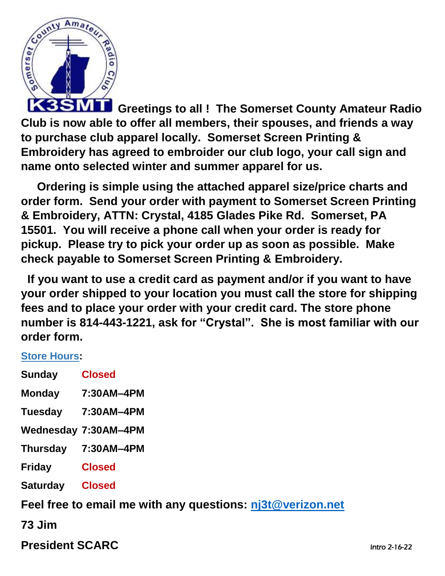

**Greetings to all ! The Somerset County Amateur Radio Club is now able to offer all members, their spouses, and friends a way to purchase club apparel locally. Somerset Screen Printing & Embroidery has agreed to embroider our club logo, your call sign and name onto selected winter and summer apparel for us.** 

 **Ordering is simple using the attached apparel size/price charts and order form. Send your order with payment to Somerset Screen Printing & Embroidery, ATTN: Crystal, 4185 Glades Pike Rd. Somerset, PA 15501. You will receive a phone call when your order is ready for pickup. Please try to pick your order up as soon as possible. Make check payable to Somerset Screen Printing & Embroidery.**

 **If you want to use a credit card as payment and/or if you want to have your order shipped to your location you must call the store for shipping fees and to place your order with your credit card. The store phone number is 814-443-1221, ask for "Crystal". She is most familiar with our order form.** 

## **Store [Hours:](https://www.google.com/search?sxsrf=APq-WBs24ckYBBHJe-plwniBd50p_zQmrg:1643602093692&q=somerset+screen+printing+hours&ludocid=17539022385365730816&sa=X&ved=2ahUKEwjp9Mj3jtv1AhXDmeAKHYVMDr8Q6BN6BAgrEAI)**

| <b>Sunday</b>             | <b>Closed</b>               |  |
|---------------------------|-----------------------------|--|
| <b>Monday</b>             | 7:30AM-4PM                  |  |
| <b>Tuesday</b>            | 7:30AM-4PM                  |  |
|                           | <b>Wednesday 7:30AM-4PM</b> |  |
| <b>Thursday</b>           | 7:30AM-4PM                  |  |
| <b>Friday</b>             | <b>Closed</b>               |  |
| <b>Saturday</b>           | <b>Closed</b>               |  |
| Feel free to email me wit |                             |  |

**Feel free to email me with any questions: [nj3t@verizon.net](mailto:nj3t@verizon.net)**

**73 Jim**

**President SCARC** Intro 2-16-22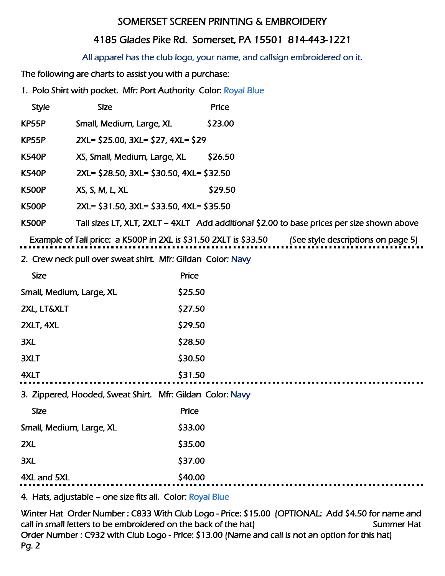## SOMERSET SCREEN PRINTING & EMBROIDERY

## 4185 Glades Pike Rd. Somerset, PA 15501 814-443-1221

## All apparel has the club logo, your name, and callsign embroidered on it.

The following are charts to assist you with a purchase:

1. Polo Shirt with pocket. Mfr: Port Authority Color: Royal Blue

| <b>Style</b> | <b>Size</b>                              | Price   |
|--------------|------------------------------------------|---------|
| KP55P        | Small, Medium, Large, XL                 | \$23.00 |
| KP55P        | 2XL= \$25.00, 3XL= \$27, 4XL= \$29       |         |
| K540P        | XS, Small, Medium, Large, XL             | \$26.50 |
| K540P        | 2XL= \$28.50, 3XL= \$30.50, 4XL= \$32.50 |         |
| K500P        | XS, S, M, L, XL                          | \$29.50 |
| K500P        | 2XL= \$31.50, 3XL= \$33.50, 4XL= \$35.50 |         |

K500P Tall sizes LT, XLT, 2XLT – 4XLT Add additional \$2.00 to base prices per size shown above

Example of Tall price: a K500P in 2XL is \$31.50 2XLT is \$33.50 (See style descriptions on page 5)

2. Crew neck pull over sweat shirt. Mfr: Gildan Color: Navy

| <b>Size</b>                                               | Price   |  |
|-----------------------------------------------------------|---------|--|
| Small, Medium, Large, XL                                  | \$25.50 |  |
| <b>2XL, LT&amp;XLT</b>                                    | \$27.50 |  |
| 2XLT, 4XL                                                 | \$29.50 |  |
| 3XL                                                       | \$28.50 |  |
| 3XLT                                                      | \$30.50 |  |
| 4XLT                                                      | \$31.50 |  |
| 3. Zippered, Hooded, Sweat Shirt. Mfr: Gildan Color: Navy |         |  |
| <b>Size</b>                                               | Price   |  |
| Small, Medium, Large, XL                                  | \$33.00 |  |
| 2XL                                                       | \$35.00 |  |
| 3XL                                                       | \$37.00 |  |
| 4XL and 5XL                                               | \$40.00 |  |
|                                                           |         |  |

4. Hats, adjustable – one size fits all. Color: Royal Blue

Winter Hat Order Number : C833 With Club Logo - Price: \$15.00 (OPTIONAL: Add \$4.50 for name and call in small letters to be embroidered on the back of the hat) Summer Hat Order Number : C932 with Club Logo - Price: \$13.00 (Name and call is not an option for this hat) Pg. 2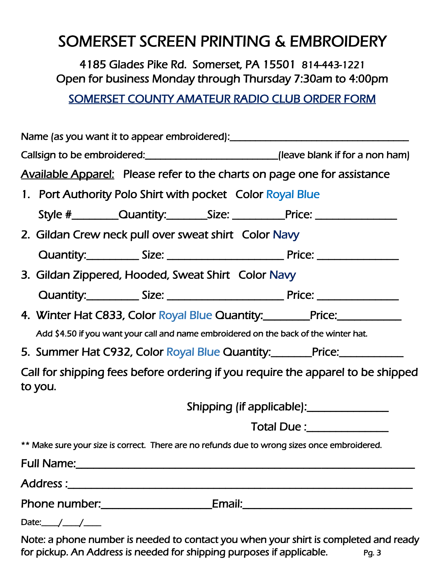# SOMERSET SCREEN PRINTING & EMBROIDERY

4185 Glades Pike Rd. Somerset, PA 15501 814-443-1221 Open for business Monday through Thursday 7:30am to 4:00pm

SOMERSET COUNTY AMATEUR RADIO CLUB ORDER FORM

| Name (as you want it to appear embroidered): ___________________________________                                |  |
|-----------------------------------------------------------------------------------------------------------------|--|
| Callsign to be embroidered: ___________________________(leave blank if for a non ham)                           |  |
| <b>Available Apparel:</b> Please refer to the charts on page one for assistance                                 |  |
| 1. Port Authority Polo Shirt with pocket Color Royal Blue                                                       |  |
| Style #_____________Quantity:____________Size: _________________________________                                |  |
| 2. Gildan Crew neck pull over sweat shirt Color Navy                                                            |  |
|                                                                                                                 |  |
| 3. Gildan Zippered, Hooded, Sweat Shirt Color Navy                                                              |  |
|                                                                                                                 |  |
| 4. Winter Hat C833, Color Royal Blue Quantity:_________Price:___________________                                |  |
| Add \$4.50 if you want your call and name embroidered on the back of the winter hat.                            |  |
| 5. Summer Hat C932, Color Royal Blue Quantity: Price:                                                           |  |
| Call for shipping fees before ordering if you require the apparel to be shipped<br>to you.                      |  |
|                                                                                                                 |  |
| Total Due: National Property of the Contract of Total Due in the Contract of the Contract of Total Due in the T |  |
| ** Make sure your size is correct. There are no refunds due to wrong sizes once embroidered.                    |  |
|                                                                                                                 |  |
|                                                                                                                 |  |
| Phone number:___________________________Email:__________________________________                                |  |
|                                                                                                                 |  |

Note: a phone number is needed to contact you when your shirt is completed and ready for pickup. An Address is needed for shipping purposes if applicable. *Pg. 3*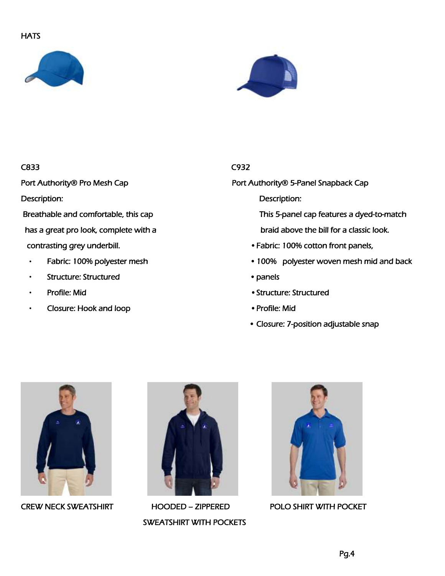## **HATS**





### C833 C932

Description: Description:

has a great pro look, complete with a braid above the bill for a classic look.

- 
- Structure: Structured panels
- 
- Closure: Hook and loop Profile: Mid

Port Authority® Pro Mesh Cap Port Authority® 5-Panel Snapback Cap

Breathable and comfortable, this cap This 5-panel cap features a dyed-to-match

- contrasting grey underbill. Fabric: 100% cotton front panels,
- Fabric: 100% polyester mesh **•** 100% polyester woven mesh mid and back
	-
- Profile: Mid Structure: Structured
	-
	- Closure: 7-position adjustable snap





SWEATSHIRT WITH POCKETS



CREW NECK SWEATSHIRT HOODED – ZIPPERED POLO SHIRT WITH POCKET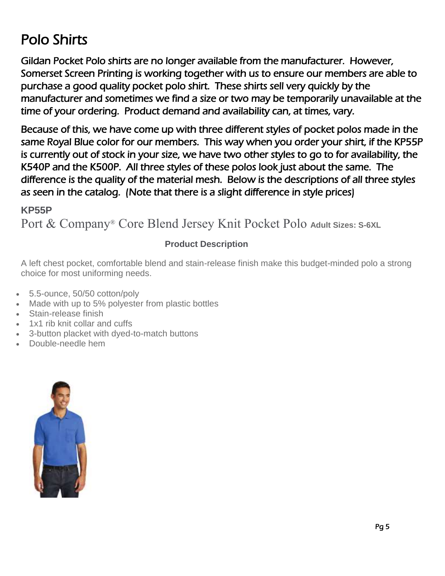# Polo Shirts

Gildan Pocket Polo shirts are no longer available from the manufacturer. However, Somerset Screen Printing is working together with us to ensure our members are able to purchase a good quality pocket polo shirt. These shirts sell very quickly by the manufacturer and sometimes we find a size or two may be temporarily unavailable at the time of your ordering. Product demand and availability can, at times, vary.

Because of this, we have come up with three different styles of pocket polos made in the same Royal Blue color for our members. This way when you order your shirt, if the KP55P is currently out of stock in your size, we have two other styles to go to for availability, the K540P and the K500P. All three styles of these polos look just about the same. The difference is the quality of the material mesh. Below is the descriptions of all three styles as seen in the catalog. (Note that there is a slight difference in style prices)

**KP55P**

Port & Company® Core Blend Jersey Knit Pocket Polo **Adult Sizes: S-6XL**

## **Product Description**

A left chest pocket, comfortable blend and stain-release finish make this budget-minded polo a strong choice for most uniforming needs.

- 5.5-ounce, 50/50 cotton/poly
- Made with up to 5% polyester from plastic bottles
- Stain-release finish
- 1x1 rib knit collar and cuffs
- 3-button placket with dyed-to-match buttons
- Double-needle hem